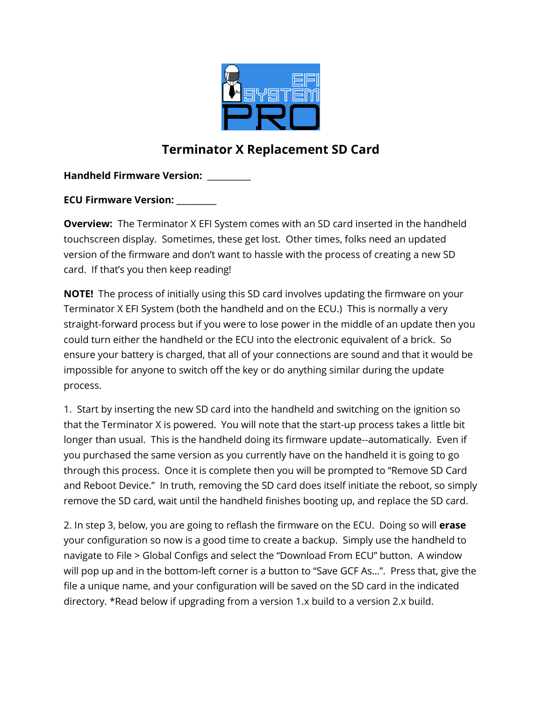

## **Terminator X Replacement SD Card**

**Handheld Firmware Version:** \_\_\_\_\_\_\_\_\_\_

**ECU Firmware Version: \_\_\_\_\_\_\_\_\_\_**

**Overview:** The Terminator X EFI System comes with an SD card inserted in the handheld touchscreen display. Sometimes, these get lost. Other times, folks need an updated version of the firmware and don't want to hassle with the process of creating a new SD card. If that's you then keep reading!

**NOTE!** The process of initially using this SD card involves updating the firmware on your Terminator X EFI System (both the handheld and on the ECU.) This is normally a very straight-forward process but if you were to lose power in the middle of an update then you could turn either the handheld or the ECU into the electronic equivalent of a brick. So ensure your battery is charged, that all of your connections are sound and that it would be impossible for anyone to switch off the key or do anything similar during the update process.

1. Start by inserting the new SD card into the handheld and switching on the ignition so that the Terminator X is powered. You will note that the start-up process takes a little bit longer than usual. This is the handheld doing its firmware update--automatically. Even if you purchased the same version as you currently have on the handheld it is going to go through this process. Once it is complete then you will be prompted to "Remove SD Card and Reboot Device." In truth, removing the SD card does itself initiate the reboot, so simply remove the SD card, wait until the handheld finishes booting up, and replace the SD card.

2. In step 3, below, you are going to reflash the firmware on the ECU. Doing so will **erase** your configuration so now is a good time to create a backup. Simply use the handheld to navigate to File > Global Configs and select the "Download From ECU" button. A window will pop up and in the bottom-left corner is a button to "Save GCF As…". Press that, give the file a unique name, and your configuration will be saved on the SD card in the indicated directory. \*Read below if upgrading from a version 1.x build to a version 2.x build.